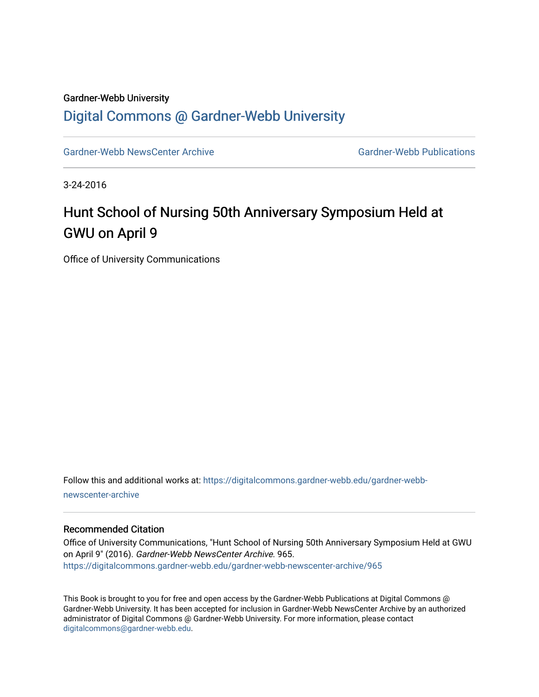## Gardner-Webb University [Digital Commons @ Gardner-Webb University](https://digitalcommons.gardner-webb.edu/)

[Gardner-Webb NewsCenter Archive](https://digitalcommons.gardner-webb.edu/gardner-webb-newscenter-archive) Gardner-Webb Publications

3-24-2016

## Hunt School of Nursing 50th Anniversary Symposium Held at GWU on April 9

Office of University Communications

Follow this and additional works at: [https://digitalcommons.gardner-webb.edu/gardner-webb](https://digitalcommons.gardner-webb.edu/gardner-webb-newscenter-archive?utm_source=digitalcommons.gardner-webb.edu%2Fgardner-webb-newscenter-archive%2F965&utm_medium=PDF&utm_campaign=PDFCoverPages)[newscenter-archive](https://digitalcommons.gardner-webb.edu/gardner-webb-newscenter-archive?utm_source=digitalcommons.gardner-webb.edu%2Fgardner-webb-newscenter-archive%2F965&utm_medium=PDF&utm_campaign=PDFCoverPages)

## Recommended Citation

Office of University Communications, "Hunt School of Nursing 50th Anniversary Symposium Held at GWU on April 9" (2016). Gardner-Webb NewsCenter Archive. 965. [https://digitalcommons.gardner-webb.edu/gardner-webb-newscenter-archive/965](https://digitalcommons.gardner-webb.edu/gardner-webb-newscenter-archive/965?utm_source=digitalcommons.gardner-webb.edu%2Fgardner-webb-newscenter-archive%2F965&utm_medium=PDF&utm_campaign=PDFCoverPages)

This Book is brought to you for free and open access by the Gardner-Webb Publications at Digital Commons @ Gardner-Webb University. It has been accepted for inclusion in Gardner-Webb NewsCenter Archive by an authorized administrator of Digital Commons @ Gardner-Webb University. For more information, please contact [digitalcommons@gardner-webb.edu](mailto:digitalcommons@gardner-webb.edu).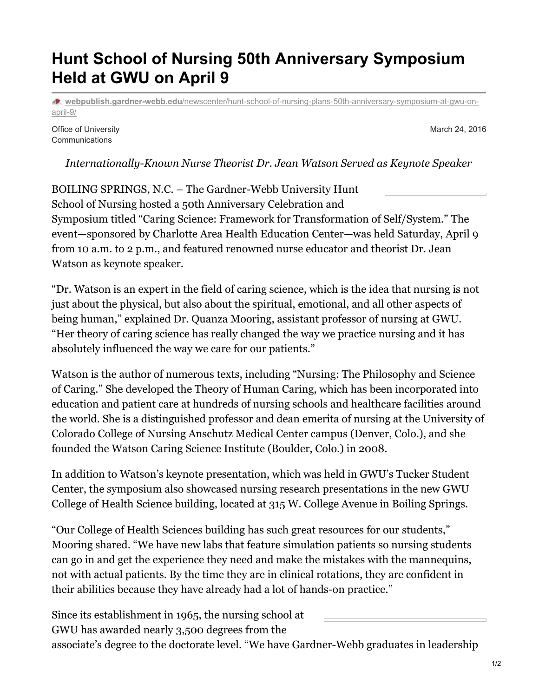## **Hunt School of Nursing 50th Anniversary Symposium Held at GWU on April 9**

**webpublish.gardner-webb.edu**[/newscenter/hunt-school-of-nursing-plans-50th-anniversary-symposium-at-gwu-on](https://webpublish.gardner-webb.edu/newscenter/hunt-school-of-nursing-plans-50th-anniversary-symposium-at-gwu-on-april-9/)april-9/

Office of University **Communications** 

March 24, 2016

*Internationally-Known Nurse Theorist Dr. Jean Watson Served as Keynote Speaker*

BOILING SPRINGS, N.C. – The Gardner-Webb University Hunt School of Nursing hosted a 50th Anniversary Celebration and Symposium titled "Caring Science: Framework for Transformation of Self/System." The event—sponsored by Charlotte Area Health Education Center—was held Saturday, April 9 from 10 a.m. to 2 p.m., and featured renowned nurse educator and theorist Dr. Jean Watson as keynote speaker.

"Dr. Watson is an expert in the field of caring science, which is the idea that nursing is not just about the physical, but also about the spiritual, emotional, and all other aspects of being human," explained Dr. Quanza Mooring, assistant professor of nursing at GWU. "Her theory of caring science has really changed the way we practice nursing and it has absolutely influenced the way we care for our patients."

Watson is the author of numerous texts, including "Nursing: The Philosophy and Science of Caring." She developed the Theory of Human Caring, which has been incorporated into education and patient care at hundreds of nursing schools and healthcare facilities around the world. She is a distinguished professor and dean emerita of nursing at the University of Colorado College of Nursing Anschutz Medical Center campus (Denver, Colo.), and she founded the Watson Caring Science Institute (Boulder, Colo.) in 2008.

In addition to Watson's keynote presentation, which was held in GWU's Tucker Student Center, the symposium also showcased nursing research presentations in the new GWU College of Health Science building, located at 315 W. College Avenue in Boiling Springs.

"Our College of Health Sciences building has such great resources for our students," Mooring shared. "We have new labs that feature simulation patients so nursing students can go in and get the experience they need and make the mistakes with the mannequins, not with actual patients. By the time they are in clinical rotations, they are confident in their abilities because they have already had a lot of hands-on practice."

Since its establishment in 1965, the nursing school at GWU has awarded nearly 3,500 degrees from the associate's degree to the doctorate level. "We have Gardner-Webb graduates in leadership